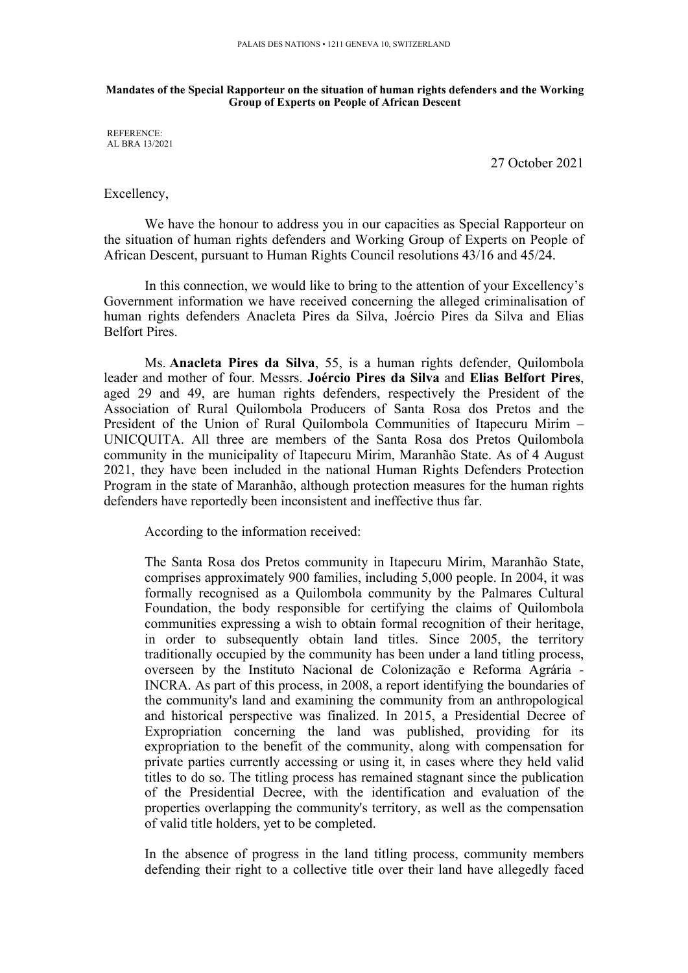## **Mandates of the Special Rapporteur on the situation of human rights defenders and the Working Group of Experts on People of African Descent**

REFERENCE: AL BRA 13/2021

27 October 2021

Excellency,

We have the honour to address you in our capacities as Special Rapporteur on the situation of human rights defenders and Working Group of Experts on People of African Descent, pursuan<sup>t</sup> to Human Rights Council resolutions 43/16 and 45/24.

In this connection, we would like to bring to the attention of your Excellency'<sup>s</sup> Government information we have received concerning the alleged criminalisation of human rights defenders Anacleta Pires da Silva, Joércio Pires da Silva and Elias Belfort Pires.

Ms. **Anacleta Pires da Silva**, 55, is <sup>a</sup> human rights defender, Quilombola leader and mother of four. Messrs. **Joércio Pires da Silva** and **Elias Belfort Pires**, aged 29 and 49, are human rights defenders, respectively the President of the Association of Rural Quilombola Producers of Santa Rosa dos Pretos and the President of the Union of Rural Quilombola Communities of Itapecuru Mirim – UNICQUITA. All three are members of the Santa Rosa dos Pretos Quilombola community in the municipality of Itapecuru Mirim, Maranhão State. As of 4 August 2021, they have been included in the national Human Rights Defenders Protection Program in the state of Maranhão, although protection measures for the human rights defenders have reportedly been inconsistent and ineffective thus far.

According to the information received:

The Santa Rosa dos Pretos community in Itapecuru Mirim, Maranhão State, comprises approximately 900 families, including 5,000 people. In 2004, it was formally recognised as <sup>a</sup> Quilombola community by the Palmares Cultural Foundation, the body responsible for certifying the claims of Quilombola communities expressing <sup>a</sup> wish to obtain formal recognition of their heritage, in order to subsequently obtain land titles. Since 2005, the territory traditionally occupied by the community has been under <sup>a</sup> land titling process, overseen by the Instituto Nacional de Colonização <sup>e</sup> Reforma Agrária - INCRA. As par<sup>t</sup> of this process, in 2008, <sup>a</sup> repor<sup>t</sup> identifying the boundaries of the community's land and examining the community from an anthropological and historical perspective was finalized. In 2015, <sup>a</sup> Presidential Decree of Expropriation concerning the land was published, providing for its expropriation to the benefit of the community, along with compensation for private parties currently accessing or using it, in cases where they held valid titles to do so. The titling process has remained stagnant since the publication of the Presidential Decree, with the identification and evaluation of the properties overlapping the community's territory, as well as the compensation of valid title holders, ye<sup>t</sup> to be completed.

In the absence of progress in the land titling process, community members defending their right to <sup>a</sup> collective title over their land have allegedly faced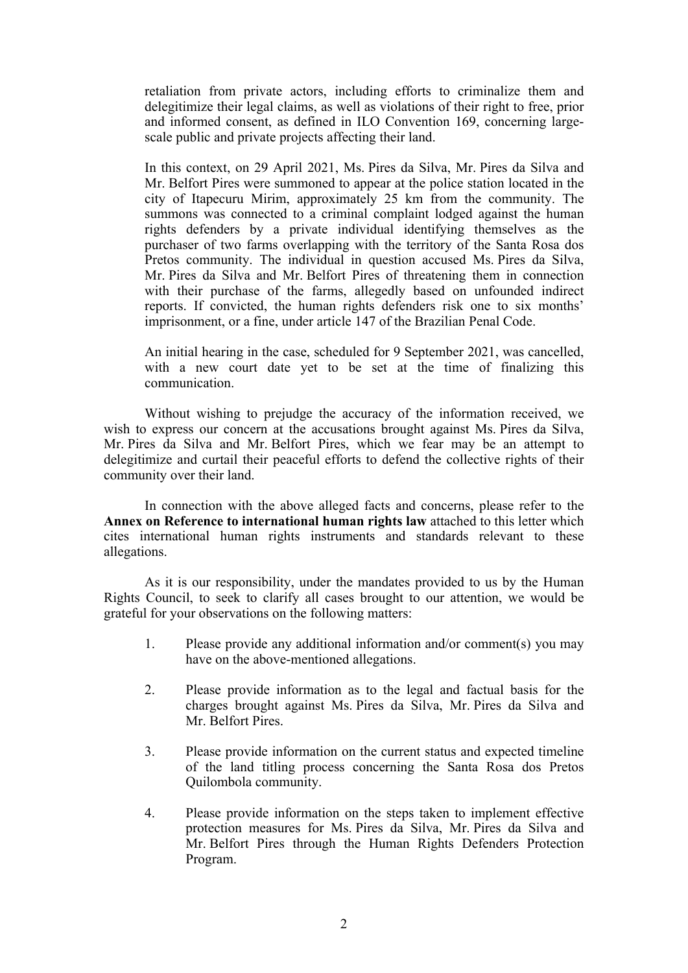retaliation from private actors, including efforts to criminalize them and delegitimize their legal claims, as well as violations of their right to free, prior and informed consent, as defined in ILO Convention 169, concerning largescale public and private projects affecting their land.

In this context, on 29 April 2021, Ms. Pires da Silva, Mr. Pires da Silva and Mr. Belfort Pires were summoned to appear at the police station located in the city of Itapecuru Mirim, approximately 25 km from the community. The summons was connected to a criminal complaint lodged against the human rights defenders by <sup>a</sup> private individual identifying themselves as the purchaser of two farms overlapping with the territory of the Santa Rosa dos Pretos community. The individual in question accused Ms. Pires da Silva, Mr. Pires da Silva and Mr. Belfort Pires of threatening them in connection with their purchase of the farms, allegedly based on unfounded indirect reports. If convicted, the human rights defenders risk one to six months' imprisonment, or <sup>a</sup> fine, under article 147 of the Brazilian Penal Code.

An initial hearing in the case, scheduled for 9 September 2021, was cancelled, with <sup>a</sup> new court date ye<sup>t</sup> to be set at the time of finalizing this communication.

Without wishing to prejudge the accuracy of the information received, we wish to express our concern at the accusations brought against Ms. Pires da Silva, Mr. Pires da Silva and Mr. Belfort Pires, which we fear may be an attempt to delegitimize and curtail their peaceful efforts to defend the collective rights of their community over their land.

In connection with the above alleged facts and concerns, please refer to the **Annex on Reference to international human rights law** attached to this letter which cites international human rights instruments and standards relevant to these allegations.

As it is our responsibility, under the mandates provided to us by the Human Rights Council, to seek to clarify all cases brought to our attention, we would be grateful for your observations on the following matters:

- 1. Please provide any additional information and/or comment(s) you may have on the above-mentioned allegations.
- 2. Please provide information as to the legal and factual basis for the charges brought against Ms. Pires da Silva, Mr. Pires da Silva and Mr. Belfort Pires.
- 3. Please provide information on the current status and expected timeline of the land titling process concerning the Santa Rosa dos Pretos Quilombola community.
- 4. Please provide information on the steps taken to implement effective protection measures for Ms. Pires da Silva, Mr. Pires da Silva and Mr. Belfort Pires through the Human Rights Defenders Protection Program.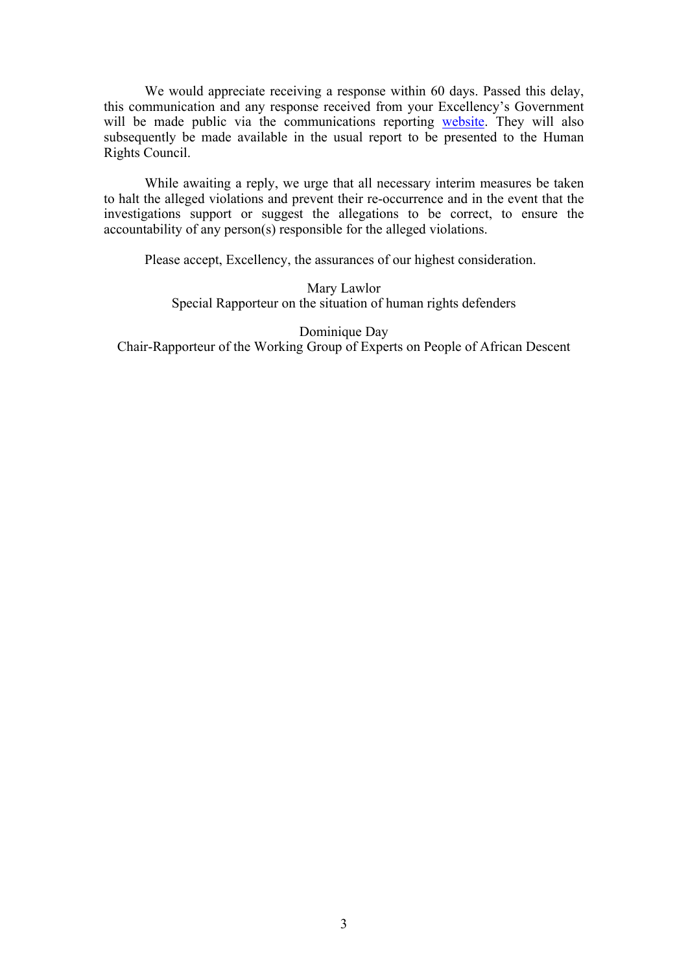We would appreciate receiving <sup>a</sup> response within 60 days. Passed this delay, this communication and any response received from your Excellency'<sup>s</sup> Government will be made public via the communications reporting [website](https://spcommreports.ohchr.org/). They will also subsequently be made available in the usual report to be presented to the Human Rights Council.

While awaiting <sup>a</sup> reply, we urge that all necessary interim measures be taken to halt the alleged violations and preven<sup>t</sup> their re-occurrence and in the event that the investigations suppor<sup>t</sup> or sugges<sup>t</sup> the allegations to be correct, to ensure the accountability of any person(s) responsible for the alleged violations.

Please accept, Excellency, the assurances of our highest consideration.

Mary Lawlor Special Rapporteur on the situation of human rights defenders

Dominique Day Chair-Rapporteur of the Working Group of Experts on People of African Descent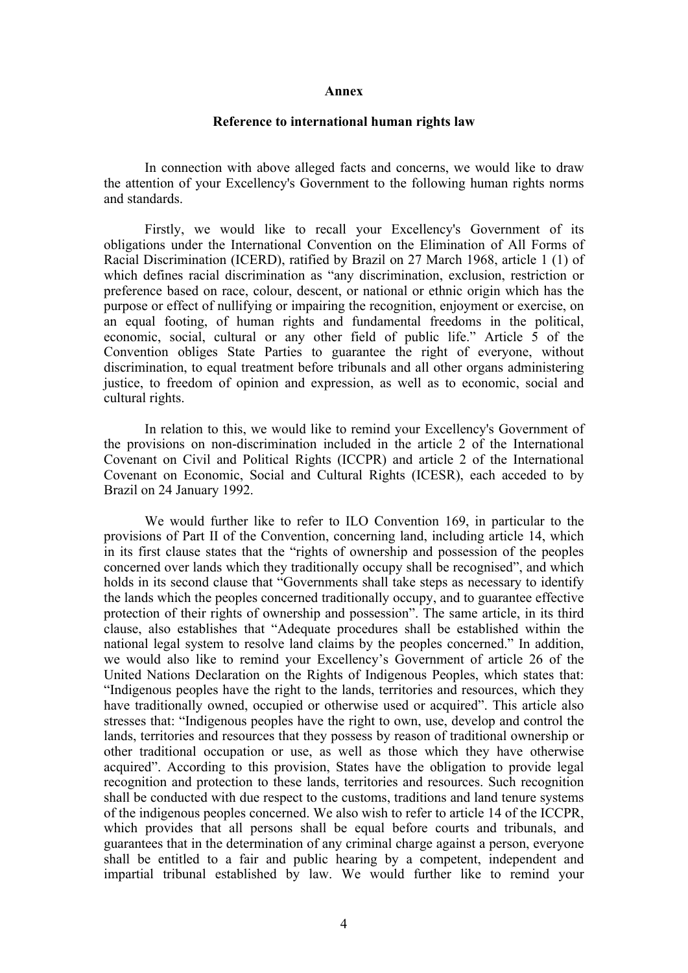## **Annex**

## **Reference to international human rights law**

In connection with above alleged facts and concerns, we would like to draw the attention of your Excellency's Government to the following human rights norms and standards.

Firstly, we would like to recall your Excellency's Government of its obligations under the International Convention on the Elimination of All Forms of Racial Discrimination (ICERD), ratified by Brazil on 27 March 1968, article 1 (1) of which defines racial discrimination as "any discrimination, exclusion, restriction or preference based on race, colour, descent, or national or ethnic origin which has the purpose or effect of nullifying or impairing the recognition, enjoyment or exercise, on an equal footing, of human rights and fundamental freedoms in the political, economic, social, cultural or any other field of public life." Article  $\overline{5}$  of the Convention obliges State Parties to guarantee the right of everyone, without discrimination, to equal treatment before tribunals and all other organs administering justice, to freedom of opinion and expression, as well as to economic, social and cultural rights.

In relation to this, we would like to remind your Excellency's Government of the provisions on non-discrimination included in the article 2 of the International Covenant on Civil and Political Rights (ICCPR) and article 2 of the International Covenant on Economic, Social and Cultural Rights (ICESR), each acceded to by Brazil on 24 January 1992.

We would further like to refer to ILO Convention 169, in particular to the provisions of Part II of the Convention, concerning land, including article 14, which in its first clause states that the "rights of ownership and possession of the peoples concerned over lands which they traditionally occupy shall be recognised", and which holds in its second clause that "Governments shall take steps as necessary to identify the lands which the peoples concerned traditionally occupy, and to guarantee effective protection of their rights of ownership and possession". The same article, in its third clause, also establishes that "Adequate procedures shall be established within the national legal system to resolve land claims by the peoples concerned." In addition, we would also like to remind your Excellency'<sup>s</sup> Government of article 26 of the United Nations Declaration on the Rights of Indigenous Peoples, which states that: "Indigenous peoples have the right to the lands, territories and resources, which they have traditionally owned, occupied or otherwise used or acquired". This article also stresses that: "Indigenous peoples have the right to own, use, develop and control the lands, territories and resources that they possess by reason of traditional ownership or other traditional occupation or use, as well as those which they have otherwise acquired". According to this provision, States have the obligation to provide legal recognition and protection to these lands, territories and resources. Such recognition shall be conducted with due respec<sup>t</sup> to the customs, traditions and land tenure systems of the indigenous peoples concerned. We also wish to refer to article 14 of the ICCPR, which provides that all persons shall be equal before courts and tribunals, and guarantees that in the determination of any criminal charge against <sup>a</sup> person, everyone shall be entitled to <sup>a</sup> fair and public hearing by <sup>a</sup> competent, independent and impartial tribunal established by law. We would further like to remind your